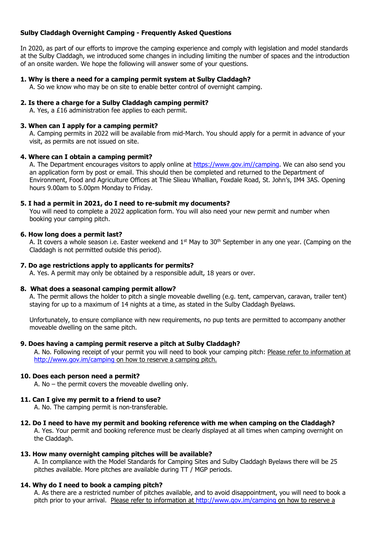# **Sulby Claddagh Overnight Camping - Frequently Asked Questions**

In 2020, as part of our efforts to improve the camping experience and comply with legislation and model standards at the Sulby Claddagh, we introduced some changes in including limiting the number of spaces and the introduction of an onsite warden. We hope the following will answer some of your questions.

## **1. Why is there a need for a camping permit system at Sulby Claddagh?**

A. So we know who may be on site to enable better control of overnight camping.

## **2. Is there a charge for a Sulby Claddagh camping permit?**

A. Yes, a £16 administration fee applies to each permit.

### **3. When can I apply for a camping permit?**

A. Camping permits in 2022 will be available from mid-March. You should apply for a permit in advance of your visit, as permits are not issued on site.

#### **4. Where can I obtain a camping permit?**

A. The Department encourages visitors to apply online at [https://www.gov.im//camping.](https://www.gov.im/camping) We can also send you an application form by post or email. This should then be completed and returned to the Department of Environment, Food and Agriculture Offices at Thie Slieau Whallian, Foxdale Road, St. John's, IM4 3AS. Opening hours 9.00am to 5.00pm Monday to Friday.

### **5. I had a permit in 2021, do I need to re-submit my documents?**

You will need to complete a 2022 application form. You will also need your new permit and number when booking your camping pitch.

### **6. How long does a permit last?**

A. It covers a whole season i.e. Easter weekend and 1<sup>st</sup> May to 30<sup>th</sup> September in any one year. (Camping on the Claddagh is not permitted outside this period).

## **7. Do age restrictions apply to applicants for permits?**

A. Yes. A permit may only be obtained by a responsible adult, 18 years or over.

#### **8. What does a seasonal camping permit allow?**

A. The permit allows the holder to pitch a single moveable dwelling (e.g. tent, campervan, caravan, trailer tent) staying for up to a maximum of 14 nights at a time, as stated in the Sulby Claddagh Byelaws.

Unfortunately, to ensure compliance with new requirements, no pup tents are permitted to accompany another moveable dwelling on the same pitch.

#### **9. Does having a camping permit reserve a pitch at Sulby Claddagh?**

A. No. Following receipt of your permit you will need to book your camping pitch: Please refer to information at http://www.gov.jm/camping on how to reserve a camping pitch.

#### **10. Does each person need a permit?**

A. No – the permit covers the moveable dwelling only.

## **11. Can I give my permit to a friend to use?**

A. No. The camping permit is non-transferable.

## **12. Do I need to have my permit and booking reference with me when camping on the Claddagh?**

A. Yes. Your permit and booking reference must be clearly displayed at all times when camping overnight on the Claddagh.

#### **13. How many overnight camping pitches will be available?**

A. In compliance with the Model Standards for Camping Sites and Sulby Claddagh Byelaws there will be 25 pitches available. More pitches are available during TT / MGP periods.

## **14. Why do I need to book a camping pitch?**

A. As there are a restricted number of pitches available, and to avoid disappointment, you will need to book a pitch prior to your arrival. Please refer to information at<http://www.gov.im/camping> on how to reserve a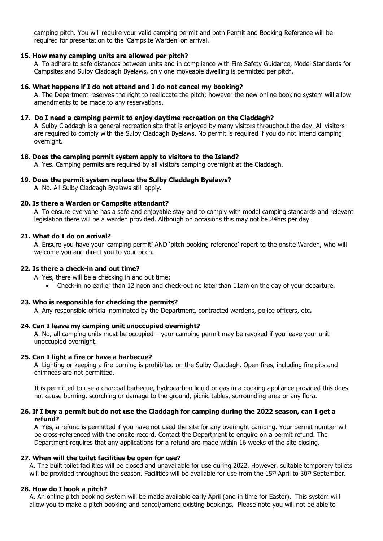camping pitch. You will require your valid camping permit and both Permit and Booking Reference will be required for presentation to the 'Campsite Warden' on arrival.

### **15. How many camping units are allowed per pitch?**

A. To adhere to safe distances between units and in compliance with Fire Safety Guidance, Model Standards for Campsites and Sulby Claddagh Byelaws, only one moveable dwelling is permitted per pitch.

### **16. What happens if I do not attend and I do not cancel my booking?**

A. The Department reserves the right to reallocate the pitch; however the new online booking system will allow amendments to be made to any reservations.

## **17. Do I need a camping permit to enjoy daytime recreation on the Claddagh?**

A. Sulby Claddagh is a general recreation site that is enjoyed by many visitors throughout the day. All visitors are required to comply with the Sulby Claddagh Byelaws. No permit is required if you do not intend camping overnight.

## **18. Does the camping permit system apply to visitors to the Island?**

A. Yes. Camping permits are required by all visitors camping overnight at the Claddagh.

## **19. Does the permit system replace the Sulby Claddagh Byelaws?**

A. No. All Sulby Claddagh Byelaws still apply.

### **20. Is there a Warden or Campsite attendant?**

A. To ensure everyone has a safe and enjoyable stay and to comply with model camping standards and relevant legislation there will be a warden provided. Although on occasions this may not be 24hrs per day.

### **21. What do I do on arrival?**

A. Ensure you have your 'camping permit' AND 'pitch booking reference' report to the onsite Warden, who will welcome you and direct you to your pitch.

### **22. Is there a check-in and out time?**

A. Yes, there will be a checking in and out time;

• Check-in no earlier than 12 noon and check-out no later than 11am on the day of your departure.

## **23. Who is responsible for checking the permits?**

A. Any responsible official nominated by the Department, contracted wardens, police officers, etc**.** 

## **24. Can I leave my camping unit unoccupied overnight?**

A. No, all camping units must be occupied – your camping permit may be revoked if you leave your unit unoccupied overnight.

#### **25. Can I light a fire or have a barbecue?**

A. Lighting or keeping a fire burning is prohibited on the Sulby Claddagh. Open fires, including fire pits and chimneas are not permitted.

It is permitted to use a charcoal barbecue, hydrocarbon liquid or gas in a cooking appliance provided this does not cause burning, scorching or damage to the ground, picnic tables, surrounding area or any flora.

### **26. If I buy a permit but do not use the Claddagh for camping during the 2022 season, can I get a refund?**

A. Yes, a refund is permitted if you have not used the site for any overnight camping. Your permit number will be cross-referenced with the onsite record. Contact the Department to enquire on a permit refund. The Department requires that any applications for a refund are made within 16 weeks of the site closing.

#### **27. When will the toilet facilities be open for use?**

A. The built toilet facilities will be closed and unavailable for use during 2022. However, suitable temporary toilets will be provided throughout the season. Facilities will be available for use from the 15<sup>th</sup> April to 30<sup>th</sup> September.

#### **28. How do I book a pitch?**

A. An online pitch booking system will be made available early April (and in time for Easter). This system will allow you to make a pitch booking and cancel/amend existing bookings. Please note you will not be able to